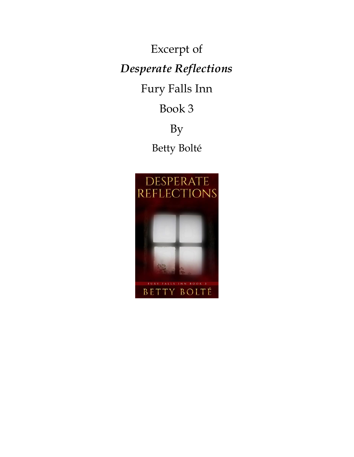Excerpt of *Desperate Reflections* Fury Falls Inn Book 3

By Betty Bolté

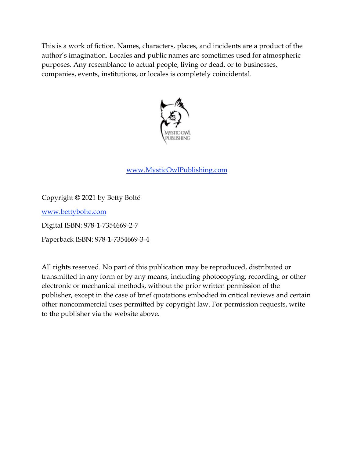This is a work of fiction. Names, characters, places, and incidents are a product of the author's imagination. Locales and public names are sometimes used for atmospheric purposes. Any resemblance to actual people, living or dead, or to businesses, companies, events, institutions, or locales is completely coincidental.



## www.MysticOwlPublishing.com

Copyright © 2021 by Betty Bolté

www.bettybolte.com

Digital ISBN: 978-1-7354669-2-7

Paperback ISBN: 978-1-7354669-3-4

All rights reserved. No part of this publication may be reproduced, distributed or transmitted in any form or by any means, including photocopying, recording, or other electronic or mechanical methods, without the prior written permission of the publisher, except in the case of brief quotations embodied in critical reviews and certain other noncommercial uses permitted by copyright law. For permission requests, write to the publisher via the website above.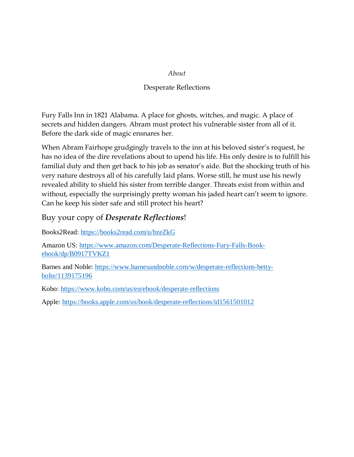#### *About*

#### Desperate Reflections

Fury Falls Inn in 1821 Alabama. A place for ghosts, witches, and magic. A place of secrets and hidden dangers. Abram must protect his vulnerable sister from all of it. Before the dark side of magic ensnares her.

When Abram Fairhope grudgingly travels to the inn at his beloved sister's request, he has no idea of the dire revelations about to upend his life. His only desire is to fulfill his familial duty and then get back to his job as senator's aide. But the shocking truth of his very nature destroys all of his carefully laid plans. Worse still, he must use his newly revealed ability to shield his sister from terrible danger. Threats exist from within and without, especially the surprisingly pretty woman his jaded heart can't seem to ignore. Can he keep his sister safe and still protect his heart?

## Buy your copy of *Desperate Reflections*!

Books2Read: https://books2read.com/u/bzeZkG

Amazon US: https://www.amazon.com/Desperate-Reflections-Fury-Falls-Bookebook/dp/B0917TVKZ1

Barnes and Noble: https://www.barnesandnoble.com/w/desperate-reflections-bettybolte/1139175196

Kobo: https://www.kobo.com/us/en/ebook/desperate-reflections

Apple: https://books.apple.com/us/book/desperate-reflections/id1561501012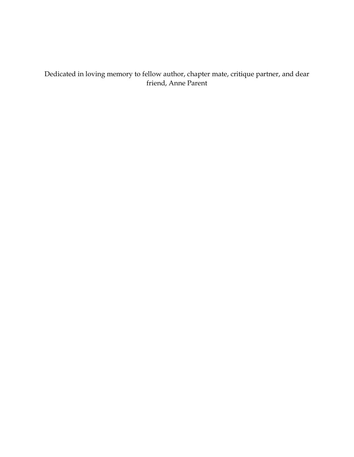Dedicated in loving memory to fellow author, chapter mate, critique partner, and dear friend, Anne Parent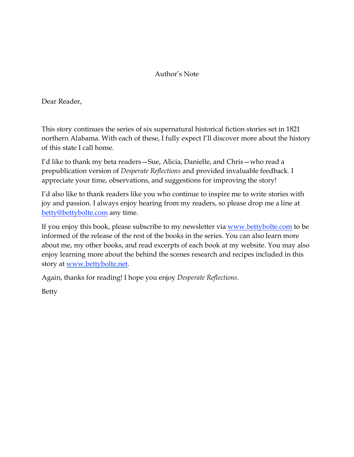### Author's Note

Dear Reader,

This story continues the series of six supernatural historical fiction stories set in 1821 northern Alabama. With each of these, I fully expect I'll discover more about the history of this state I call home.

I'd like to thank my beta readers—Sue, Alicia, Danielle, and Chris—who read a prepublication version of *Desperate Reflections* and provided invaluable feedback. I appreciate your time, observations, and suggestions for improving the story!

I'd also like to thank readers like you who continue to inspire me to write stories with joy and passion. I always enjoy hearing from my readers, so please drop me a line at betty@bettybolte.com any time.

If you enjoy this book, please subscribe to my newsletter via www.bettybolte.com to be informed of the release of the rest of the books in the series. You can also learn more about me, my other books, and read excerpts of each book at my website. You may also enjoy learning more about the behind the scenes research and recipes included in this story at www.bettybolte.net.

Again, thanks for reading! I hope you enjoy *Desperate Reflections*.

Betty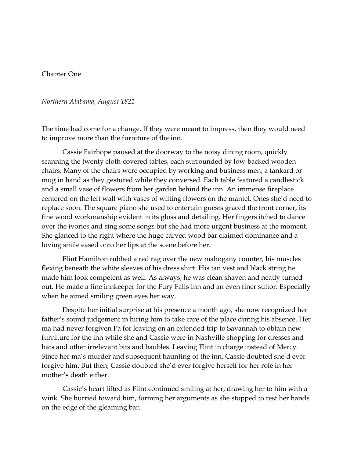#### Chapter One

#### *Northern Alabama, August 1821*

The time had come for a change. If they were meant to impress, then they would need to improve more than the furniture of the inn.

Cassie Fairhope paused at the doorway to the noisy dining room, quickly scanning the twenty cloth-covered tables, each surrounded by low-backed wooden chairs. Many of the chairs were occupied by working and business men, a tankard or mug in hand as they gestured while they conversed. Each table featured a candlestick and a small vase of flowers from her garden behind the inn. An immense fireplace centered on the left wall with vases of wilting flowers on the mantel. Ones she'd need to replace soon. The square piano she used to entertain guests graced the front corner, its fine wood workmanship evident in its gloss and detailing. Her fingers itched to dance over the ivories and sing some songs but she had more urgent business at the moment. She glanced to the right where the huge carved wood bar claimed dominance and a loving smile eased onto her lips at the scene before her.

Flint Hamilton rubbed a red rag over the new mahogany counter, his muscles flexing beneath the white sleeves of his dress shirt. His tan vest and black string tie made him look competent as well. As always, he was clean shaven and neatly turned out. He made a fine innkeeper for the Fury Falls Inn and an even finer suitor. Especially when he aimed smiling green eyes her way.

Despite her initial surprise at his presence a month ago, she now recognized her father's sound judgement in hiring him to take care of the place during his absence. Her ma had never forgiven Pa for leaving on an extended trip to Savannah to obtain new furniture for the inn while she and Cassie were in Nashville shopping for dresses and hats and other irrelevant bits and baubles. Leaving Flint in charge instead of Mercy. Since her ma's murder and subsequent haunting of the inn, Cassie doubted she'd ever forgive him. But then, Cassie doubted she'd ever forgive herself for her role in her mother's death either.

Cassie's heart lifted as Flint continued smiling at her, drawing her to him with a wink. She hurried toward him, forming her arguments as she stopped to rest her hands on the edge of the gleaming bar.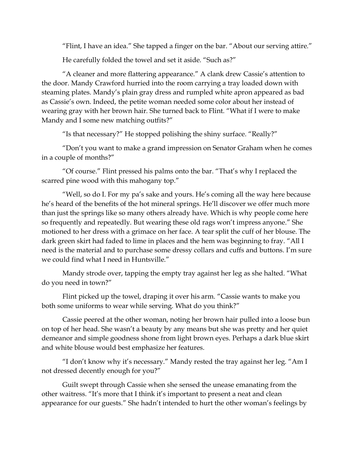"Flint, I have an idea." She tapped a finger on the bar. "About our serving attire."

He carefully folded the towel and set it aside. "Such as?"

"A cleaner and more flattering appearance." A clank drew Cassie's attention to the door. Mandy Crawford hurried into the room carrying a tray loaded down with steaming plates. Mandy's plain gray dress and rumpled white apron appeared as bad as Cassie's own. Indeed, the petite woman needed some color about her instead of wearing gray with her brown hair. She turned back to Flint. "What if I were to make Mandy and I some new matching outfits?"

"Is that necessary?" He stopped polishing the shiny surface. "Really?"

"Don't you want to make a grand impression on Senator Graham when he comes in a couple of months?"

"Of course." Flint pressed his palms onto the bar. "That's why I replaced the scarred pine wood with this mahogany top."

"Well, so do I. For my pa's sake and yours. He's coming all the way here because he's heard of the benefits of the hot mineral springs. He'll discover we offer much more than just the springs like so many others already have. Which is why people come here so frequently and repeatedly. But wearing these old rags won't impress anyone." She motioned to her dress with a grimace on her face. A tear split the cuff of her blouse. The dark green skirt had faded to lime in places and the hem was beginning to fray. "All I need is the material and to purchase some dressy collars and cuffs and buttons. I'm sure we could find what I need in Huntsville."

Mandy strode over, tapping the empty tray against her leg as she halted. "What do you need in town?"

Flint picked up the towel, draping it over his arm. "Cassie wants to make you both some uniforms to wear while serving. What do you think?"

Cassie peered at the other woman, noting her brown hair pulled into a loose bun on top of her head. She wasn't a beauty by any means but she was pretty and her quiet demeanor and simple goodness shone from light brown eyes. Perhaps a dark blue skirt and white blouse would best emphasize her features.

"I don't know why it's necessary." Mandy rested the tray against her leg. "Am I not dressed decently enough for you?"

Guilt swept through Cassie when she sensed the unease emanating from the other waitress. "It's more that I think it's important to present a neat and clean appearance for our guests." She hadn't intended to hurt the other woman's feelings by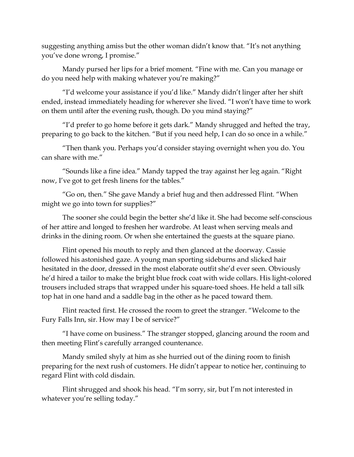suggesting anything amiss but the other woman didn't know that. "It's not anything you've done wrong, I promise."

Mandy pursed her lips for a brief moment. "Fine with me. Can you manage or do you need help with making whatever you're making?"

"I'd welcome your assistance if you'd like." Mandy didn't linger after her shift ended, instead immediately heading for wherever she lived. "I won't have time to work on them until after the evening rush, though. Do you mind staying?"

"I'd prefer to go home before it gets dark." Mandy shrugged and hefted the tray, preparing to go back to the kitchen. "But if you need help, I can do so once in a while."

"Then thank you. Perhaps you'd consider staying overnight when you do. You can share with me."

"Sounds like a fine idea." Mandy tapped the tray against her leg again. "Right now, I've got to get fresh linens for the tables."

"Go on, then." She gave Mandy a brief hug and then addressed Flint. "When might we go into town for supplies?"

The sooner she could begin the better she'd like it. She had become self-conscious of her attire and longed to freshen her wardrobe. At least when serving meals and drinks in the dining room. Or when she entertained the guests at the square piano.

Flint opened his mouth to reply and then glanced at the doorway. Cassie followed his astonished gaze. A young man sporting sideburns and slicked hair hesitated in the door, dressed in the most elaborate outfit she'd ever seen. Obviously he'd hired a tailor to make the bright blue frock coat with wide collars. His light-colored trousers included straps that wrapped under his square-toed shoes. He held a tall silk top hat in one hand and a saddle bag in the other as he paced toward them.

Flint reacted first. He crossed the room to greet the stranger. "Welcome to the Fury Falls Inn, sir. How may I be of service?"

"I have come on business." The stranger stopped, glancing around the room and then meeting Flint's carefully arranged countenance.

Mandy smiled shyly at him as she hurried out of the dining room to finish preparing for the next rush of customers. He didn't appear to notice her, continuing to regard Flint with cold disdain.

Flint shrugged and shook his head. "I'm sorry, sir, but I'm not interested in whatever you're selling today."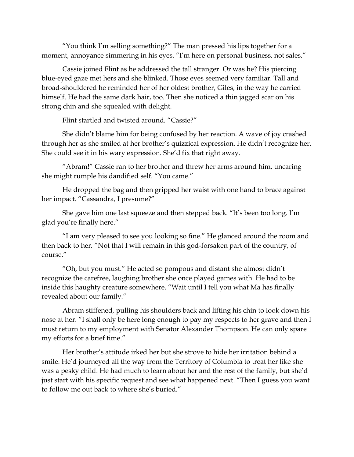"You think I'm selling something?" The man pressed his lips together for a moment, annoyance simmering in his eyes. "I'm here on personal business, not sales."

Cassie joined Flint as he addressed the tall stranger. Or was he? His piercing blue-eyed gaze met hers and she blinked. Those eyes seemed very familiar. Tall and broad-shouldered he reminded her of her oldest brother, Giles, in the way he carried himself. He had the same dark hair, too. Then she noticed a thin jagged scar on his strong chin and she squealed with delight.

Flint startled and twisted around. "Cassie?"

She didn't blame him for being confused by her reaction. A wave of joy crashed through her as she smiled at her brother's quizzical expression. He didn't recognize her. She could see it in his wary expression. She'd fix that right away.

"Abram!" Cassie ran to her brother and threw her arms around him, uncaring she might rumple his dandified self. "You came."

He dropped the bag and then gripped her waist with one hand to brace against her impact. "Cassandra, I presume?"

She gave him one last squeeze and then stepped back. "It's been too long. I'm glad you're finally here."

"I am very pleased to see you looking so fine." He glanced around the room and then back to her. "Not that I will remain in this god-forsaken part of the country, of course."

"Oh, but you must." He acted so pompous and distant she almost didn't recognize the carefree, laughing brother she once played games with. He had to be inside this haughty creature somewhere. "Wait until I tell you what Ma has finally revealed about our family."

Abram stiffened, pulling his shoulders back and lifting his chin to look down his nose at her. "I shall only be here long enough to pay my respects to her grave and then I must return to my employment with Senator Alexander Thompson. He can only spare my efforts for a brief time."

Her brother's attitude irked her but she strove to hide her irritation behind a smile. He'd journeyed all the way from the Territory of Columbia to treat her like she was a pesky child. He had much to learn about her and the rest of the family, but she'd just start with his specific request and see what happened next. "Then I guess you want to follow me out back to where she's buried."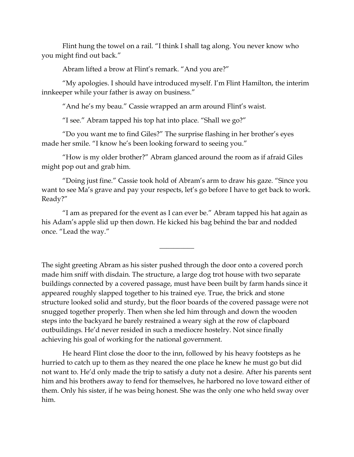Flint hung the towel on a rail. "I think I shall tag along. You never know who you might find out back."

Abram lifted a brow at Flint's remark. "And you are?"

"My apologies. I should have introduced myself. I'm Flint Hamilton, the interim innkeeper while your father is away on business."

"And he's my beau." Cassie wrapped an arm around Flint's waist.

"I see." Abram tapped his top hat into place. "Shall we go?"

"Do you want me to find Giles?" The surprise flashing in her brother's eyes made her smile. "I know he's been looking forward to seeing you."

"How is my older brother?" Abram glanced around the room as if afraid Giles might pop out and grab him.

"Doing just fine." Cassie took hold of Abram's arm to draw his gaze. "Since you want to see Ma's grave and pay your respects, let's go before I have to get back to work. Ready?"

"I am as prepared for the event as I can ever be." Abram tapped his hat again as his Adam's apple slid up then down. He kicked his bag behind the bar and nodded once. "Lead the way."

 $\overline{\phantom{a}}$ 

The sight greeting Abram as his sister pushed through the door onto a covered porch made him sniff with disdain. The structure, a large dog trot house with two separate buildings connected by a covered passage, must have been built by farm hands since it appeared roughly slapped together to his trained eye. True, the brick and stone structure looked solid and sturdy, but the floor boards of the covered passage were not snugged together properly. Then when she led him through and down the wooden steps into the backyard he barely restrained a weary sigh at the row of clapboard outbuildings. He'd never resided in such a mediocre hostelry. Not since finally achieving his goal of working for the national government.

He heard Flint close the door to the inn, followed by his heavy footsteps as he hurried to catch up to them as they neared the one place he knew he must go but did not want to. He'd only made the trip to satisfy a duty not a desire. After his parents sent him and his brothers away to fend for themselves, he harbored no love toward either of them. Only his sister, if he was being honest. She was the only one who held sway over him.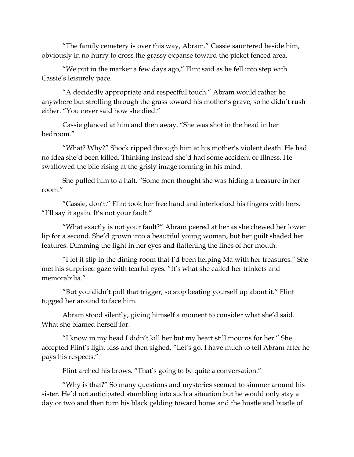"The family cemetery is over this way, Abram." Cassie sauntered beside him, obviously in no hurry to cross the grassy expanse toward the picket fenced area.

"We put in the marker a few days ago," Flint said as he fell into step with Cassie's leisurely pace.

"A decidedly appropriate and respectful touch." Abram would rather be anywhere but strolling through the grass toward his mother's grave, so he didn't rush either. "You never said how she died."

Cassie glanced at him and then away. "She was shot in the head in her bedroom."

"What? Why?" Shock ripped through him at his mother's violent death. He had no idea she'd been killed. Thinking instead she'd had some accident or illness. He swallowed the bile rising at the grisly image forming in his mind.

She pulled him to a halt. "Some men thought she was hiding a treasure in her room."

"Cassie, don't." Flint took her free hand and interlocked his fingers with hers. "I'll say it again. It's not your fault."

"What exactly is not your fault?" Abram peered at her as she chewed her lower lip for a second. She'd grown into a beautiful young woman, but her guilt shaded her features. Dimming the light in her eyes and flattening the lines of her mouth.

"I let it slip in the dining room that I'd been helping Ma with her treasures." She met his surprised gaze with tearful eyes. "It's what she called her trinkets and memorabilia."

"But you didn't pull that trigger, so stop beating yourself up about it." Flint tugged her around to face him.

Abram stood silently, giving himself a moment to consider what she'd said. What she blamed herself for.

"I know in my head I didn't kill her but my heart still mourns for her." She accepted Flint's light kiss and then sighed. "Let's go. I have much to tell Abram after he pays his respects."

Flint arched his brows. "That's going to be quite a conversation."

"Why is that?" So many questions and mysteries seemed to simmer around his sister. He'd not anticipated stumbling into such a situation but he would only stay a day or two and then turn his black gelding toward home and the hustle and bustle of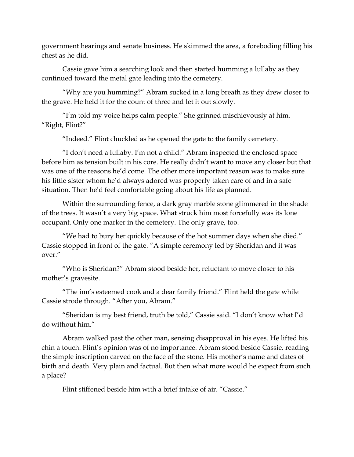government hearings and senate business. He skimmed the area, a foreboding filling his chest as he did.

Cassie gave him a searching look and then started humming a lullaby as they continued toward the metal gate leading into the cemetery.

"Why are you humming?" Abram sucked in a long breath as they drew closer to the grave. He held it for the count of three and let it out slowly.

"I'm told my voice helps calm people." She grinned mischievously at him. "Right, Flint?"

"Indeed." Flint chuckled as he opened the gate to the family cemetery.

"I don't need a lullaby. I'm not a child." Abram inspected the enclosed space before him as tension built in his core. He really didn't want to move any closer but that was one of the reasons he'd come. The other more important reason was to make sure his little sister whom he'd always adored was properly taken care of and in a safe situation. Then he'd feel comfortable going about his life as planned.

Within the surrounding fence, a dark gray marble stone glimmered in the shade of the trees. It wasn't a very big space. What struck him most forcefully was its lone occupant. Only one marker in the cemetery. The only grave, too.

"We had to bury her quickly because of the hot summer days when she died." Cassie stopped in front of the gate. "A simple ceremony led by Sheridan and it was over."

"Who is Sheridan?" Abram stood beside her, reluctant to move closer to his mother's gravesite.

"The inn's esteemed cook and a dear family friend." Flint held the gate while Cassie strode through. "After you, Abram."

"Sheridan is my best friend, truth be told," Cassie said. "I don't know what I'd do without him."

Abram walked past the other man, sensing disapproval in his eyes. He lifted his chin a touch. Flint's opinion was of no importance. Abram stood beside Cassie, reading the simple inscription carved on the face of the stone. His mother's name and dates of birth and death. Very plain and factual. But then what more would he expect from such a place?

Flint stiffened beside him with a brief intake of air. "Cassie."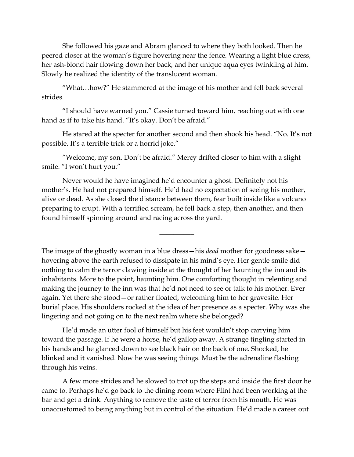She followed his gaze and Abram glanced to where they both looked. Then he peered closer at the woman's figure hovering near the fence. Wearing a light blue dress, her ash-blond hair flowing down her back, and her unique aqua eyes twinkling at him. Slowly he realized the identity of the translucent woman.

"What…how?" He stammered at the image of his mother and fell back several strides.

"I should have warned you." Cassie turned toward him, reaching out with one hand as if to take his hand. "It's okay. Don't be afraid."

He stared at the specter for another second and then shook his head. "No. It's not possible. It's a terrible trick or a horrid joke."

"Welcome, my son. Don't be afraid." Mercy drifted closer to him with a slight smile. "I won't hurt you."

Never would he have imagined he'd encounter a ghost. Definitely not his mother's. He had not prepared himself. He'd had no expectation of seeing his mother, alive or dead. As she closed the distance between them, fear built inside like a volcano preparing to erupt. With a terrified scream, he fell back a step, then another, and then found himself spinning around and racing across the yard.

 $\overline{\phantom{a}}$ 

The image of the ghostly woman in a blue dress—his *dead* mother for goodness sake hovering above the earth refused to dissipate in his mind's eye. Her gentle smile did nothing to calm the terror clawing inside at the thought of her haunting the inn and its inhabitants. More to the point, haunting him. One comforting thought in relenting and making the journey to the inn was that he'd not need to see or talk to his mother. Ever again. Yet there she stood—or rather floated, welcoming him to her gravesite. Her burial place. His shoulders rocked at the idea of her presence as a specter. Why was she lingering and not going on to the next realm where she belonged?

He'd made an utter fool of himself but his feet wouldn't stop carrying him toward the passage. If he were a horse, he'd gallop away. A strange tingling started in his hands and he glanced down to see black hair on the back of one. Shocked, he blinked and it vanished. Now he was seeing things. Must be the adrenaline flashing through his veins.

A few more strides and he slowed to trot up the steps and inside the first door he came to. Perhaps he'd go back to the dining room where Flint had been working at the bar and get a drink. Anything to remove the taste of terror from his mouth. He was unaccustomed to being anything but in control of the situation. He'd made a career out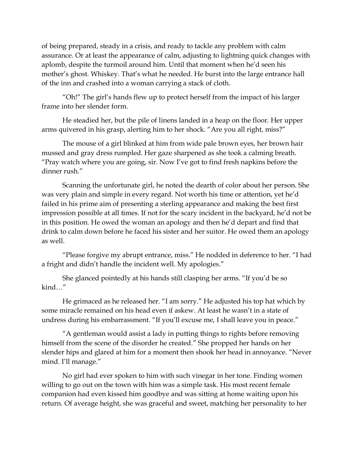of being prepared, steady in a crisis, and ready to tackle any problem with calm assurance. Or at least the appearance of calm, adjusting to lightning quick changes with aplomb, despite the turmoil around him. Until that moment when he'd seen his mother's ghost. Whiskey. That's what he needed. He burst into the large entrance hall of the inn and crashed into a woman carrying a stack of cloth.

"Oh!" The girl's hands flew up to protect herself from the impact of his larger frame into her slender form.

He steadied her, but the pile of linens landed in a heap on the floor. Her upper arms quivered in his grasp, alerting him to her shock. "Are you all right, miss?"

The mouse of a girl blinked at him from wide pale brown eyes, her brown hair mussed and gray dress rumpled. Her gaze sharpened as she took a calming breath. "Pray watch where you are going, sir. Now I've got to find fresh napkins before the dinner rush."

Scanning the unfortunate girl, he noted the dearth of color about her person. She was very plain and simple in every regard. Not worth his time or attention, yet he'd failed in his prime aim of presenting a sterling appearance and making the best first impression possible at all times. If not for the scary incident in the backyard, he'd not be in this position. He owed the woman an apology and then he'd depart and find that drink to calm down before he faced his sister and her suitor. He owed them an apology as well.

"Please forgive my abrupt entrance, miss." He nodded in deference to her. "I had a fright and didn't handle the incident well. My apologies."

She glanced pointedly at his hands still clasping her arms. "If you'd be so kind…"

He grimaced as he released her. "I am sorry." He adjusted his top hat which by some miracle remained on his head even if askew. At least he wasn't in a state of undress during his embarrassment. "If you'll excuse me, I shall leave you in peace."

"A gentleman would assist a lady in putting things to rights before removing himself from the scene of the disorder he created." She propped her hands on her slender hips and glared at him for a moment then shook her head in annoyance. "Never mind. I'll manage."

No girl had ever spoken to him with such vinegar in her tone. Finding women willing to go out on the town with him was a simple task. His most recent female companion had even kissed him goodbye and was sitting at home waiting upon his return. Of average height, she was graceful and sweet, matching her personality to her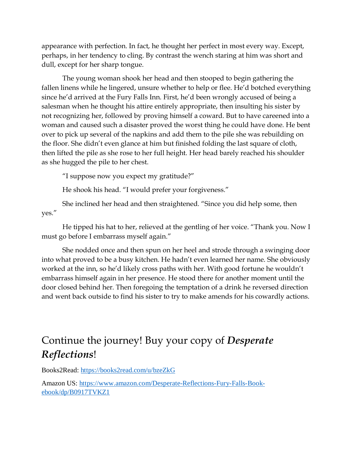appearance with perfection. In fact, he thought her perfect in most every way. Except, perhaps, in her tendency to cling. By contrast the wench staring at him was short and dull, except for her sharp tongue.

The young woman shook her head and then stooped to begin gathering the fallen linens while he lingered, unsure whether to help or flee. He'd botched everything since he'd arrived at the Fury Falls Inn. First, he'd been wrongly accused of being a salesman when he thought his attire entirely appropriate, then insulting his sister by not recognizing her, followed by proving himself a coward. But to have careened into a woman and caused such a disaster proved the worst thing he could have done. He bent over to pick up several of the napkins and add them to the pile she was rebuilding on the floor. She didn't even glance at him but finished folding the last square of cloth, then lifted the pile as she rose to her full height. Her head barely reached his shoulder as she hugged the pile to her chest.

"I suppose now you expect my gratitude?"

He shook his head. "I would prefer your forgiveness."

She inclined her head and then straightened. "Since you did help some, then yes."

He tipped his hat to her, relieved at the gentling of her voice. "Thank you. Now I must go before I embarrass myself again."

She nodded once and then spun on her heel and strode through a swinging door into what proved to be a busy kitchen. He hadn't even learned her name. She obviously worked at the inn, so he'd likely cross paths with her. With good fortune he wouldn't embarrass himself again in her presence. He stood there for another moment until the door closed behind her. Then foregoing the temptation of a drink he reversed direction and went back outside to find his sister to try to make amends for his cowardly actions.

# Continue the journey! Buy your copy of *Desperate Reflections*!

Books2Read: https://books2read.com/u/bzeZkG

Amazon US: https://www.amazon.com/Desperate-Reflections-Fury-Falls-Bookebook/dp/B0917TVKZ1